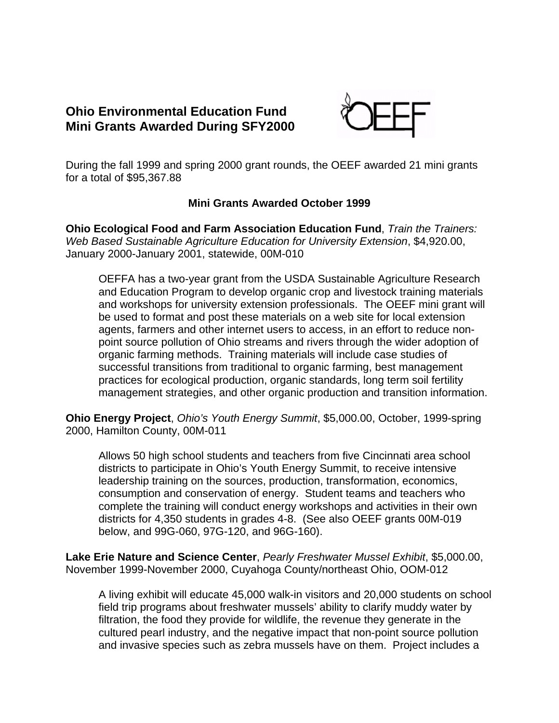## **Ohio Environmental Education Fund Mini Grants Awarded During SFY2000**



During the fall 1999 and spring 2000 grant rounds, the OEEF awarded 21 mini grants for a total of \$95,367.88

## **Mini Grants Awarded October 1999**

**Ohio Ecological Food and Farm Association Education Fund**, *Train the Trainers: Web Based Sustainable Agriculture Education for University Extension*, \$4,920.00, January 2000-January 2001, statewide, 00M-010

OEFFA has a two-year grant from the USDA Sustainable Agriculture Research and Education Program to develop organic crop and livestock training materials and workshops for university extension professionals. The OEEF mini grant will be used to format and post these materials on a web site for local extension agents, farmers and other internet users to access, in an effort to reduce nonpoint source pollution of Ohio streams and rivers through the wider adoption of organic farming methods. Training materials will include case studies of successful transitions from traditional to organic farming, best management practices for ecological production, organic standards, long term soil fertility management strategies, and other organic production and transition information.

**Ohio Energy Project**, *Ohio's Youth Energy Summit*, \$5,000.00, October, 1999-spring 2000, Hamilton County, 00M-011

Allows 50 high school students and teachers from five Cincinnati area school districts to participate in Ohio's Youth Energy Summit, to receive intensive leadership training on the sources, production, transformation, economics, consumption and conservation of energy. Student teams and teachers who complete the training will conduct energy workshops and activities in their own districts for 4,350 students in grades 4-8. (See also OEEF grants 00M-019 below, and 99G-060, 97G-120, and 96G-160).

**Lake Erie Nature and Science Center**, *Pearly Freshwater Mussel Exhibit*, \$5,000.00, November 1999-November 2000, Cuyahoga County/northeast Ohio, OOM-012

A living exhibit will educate 45,000 walk-in visitors and 20,000 students on school field trip programs about freshwater mussels' ability to clarify muddy water by filtration, the food they provide for wildlife, the revenue they generate in the cultured pearl industry, and the negative impact that non-point source pollution and invasive species such as zebra mussels have on them. Project includes a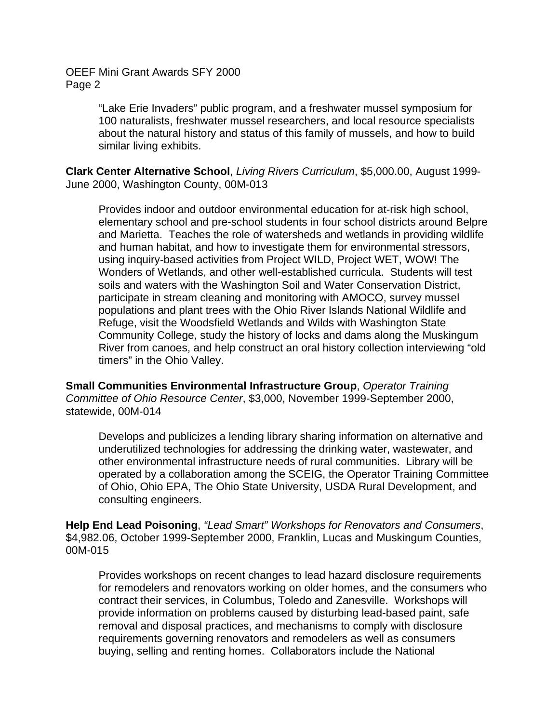> "Lake Erie Invaders" public program, and a freshwater mussel symposium for 100 naturalists, freshwater mussel researchers, and local resource specialists about the natural history and status of this family of mussels, and how to build similar living exhibits.

**Clark Center Alternative School**, *Living Rivers Curriculum*, \$5,000.00, August 1999- June 2000, Washington County, 00M-013

Provides indoor and outdoor environmental education for at-risk high school, elementary school and pre-school students in four school districts around Belpre and Marietta. Teaches the role of watersheds and wetlands in providing wildlife and human habitat, and how to investigate them for environmental stressors, using inquiry-based activities from Project WILD, Project WET, WOW! The Wonders of Wetlands, and other well-established curricula. Students will test soils and waters with the Washington Soil and Water Conservation District, participate in stream cleaning and monitoring with AMOCO, survey mussel populations and plant trees with the Ohio River Islands National Wildlife and Refuge, visit the Woodsfield Wetlands and Wilds with Washington State Community College, study the history of locks and dams along the Muskingum River from canoes, and help construct an oral history collection interviewing "old timers" in the Ohio Valley.

**Small Communities Environmental Infrastructure Group**, *Operator Training Committee of Ohio Resource Center*, \$3,000, November 1999-September 2000, statewide, 00M-014

Develops and publicizes a lending library sharing information on alternative and underutilized technologies for addressing the drinking water, wastewater, and other environmental infrastructure needs of rural communities. Library will be operated by a collaboration among the SCEIG, the Operator Training Committee of Ohio, Ohio EPA, The Ohio State University, USDA Rural Development, and consulting engineers.

**Help End Lead Poisoning**, *"Lead Smart" Workshops for Renovators and Consumers*, \$4,982.06, October 1999-September 2000, Franklin, Lucas and Muskingum Counties, 00M-015

Provides workshops on recent changes to lead hazard disclosure requirements for remodelers and renovators working on older homes, and the consumers who contract their services, in Columbus, Toledo and Zanesville. Workshops will provide information on problems caused by disturbing lead-based paint, safe removal and disposal practices, and mechanisms to comply with disclosure requirements governing renovators and remodelers as well as consumers buying, selling and renting homes. Collaborators include the National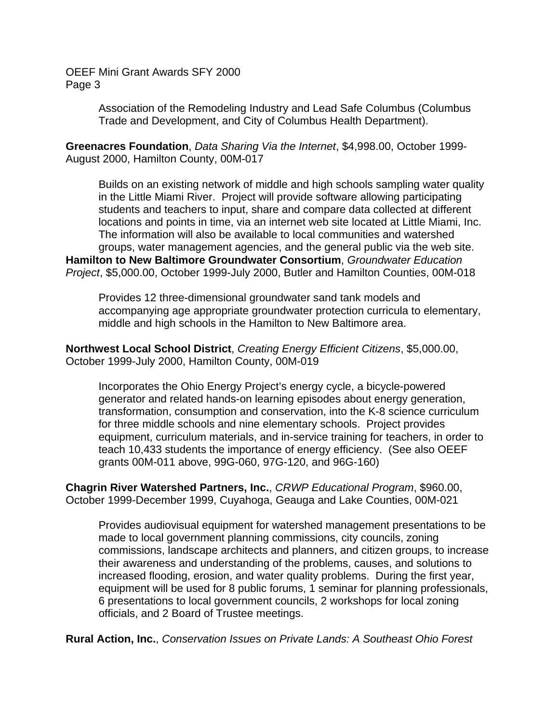> Association of the Remodeling Industry and Lead Safe Columbus (Columbus Trade and Development, and City of Columbus Health Department).

**Greenacres Foundation**, *Data Sharing Via the Internet*, \$4,998.00, October 1999- August 2000, Hamilton County, 00M-017

Builds on an existing network of middle and high schools sampling water quality in the Little Miami River. Project will provide software allowing participating students and teachers to input, share and compare data collected at different locations and points in time, via an internet web site located at Little Miami, Inc. The information will also be available to local communities and watershed groups, water management agencies, and the general public via the web site. **Hamilton to New Baltimore Groundwater Consortium**, *Groundwater Education Project*, \$5,000.00, October 1999-July 2000, Butler and Hamilton Counties, 00M-018

Provides 12 three-dimensional groundwater sand tank models and accompanying age appropriate groundwater protection curricula to elementary, middle and high schools in the Hamilton to New Baltimore area.

**Northwest Local School District**, *Creating Energy Efficient Citizens*, \$5,000.00, October 1999-July 2000, Hamilton County, 00M-019

Incorporates the Ohio Energy Project's energy cycle, a bicycle-powered generator and related hands-on learning episodes about energy generation, transformation, consumption and conservation, into the K-8 science curriculum for three middle schools and nine elementary schools. Project provides equipment, curriculum materials, and in-service training for teachers, in order to teach 10,433 students the importance of energy efficiency. (See also OEEF grants 00M-011 above, 99G-060, 97G-120, and 96G-160)

**Chagrin River Watershed Partners, Inc.**, *CRWP Educational Program*, \$960.00, October 1999-December 1999, Cuyahoga, Geauga and Lake Counties, 00M-021

Provides audiovisual equipment for watershed management presentations to be made to local government planning commissions, city councils, zoning commissions, landscape architects and planners, and citizen groups, to increase their awareness and understanding of the problems, causes, and solutions to increased flooding, erosion, and water quality problems. During the first year, equipment will be used for 8 public forums, 1 seminar for planning professionals, 6 presentations to local government councils, 2 workshops for local zoning officials, and 2 Board of Trustee meetings.

**Rural Action, Inc.**, *Conservation Issues on Private Lands: A Southeast Ohio Forest*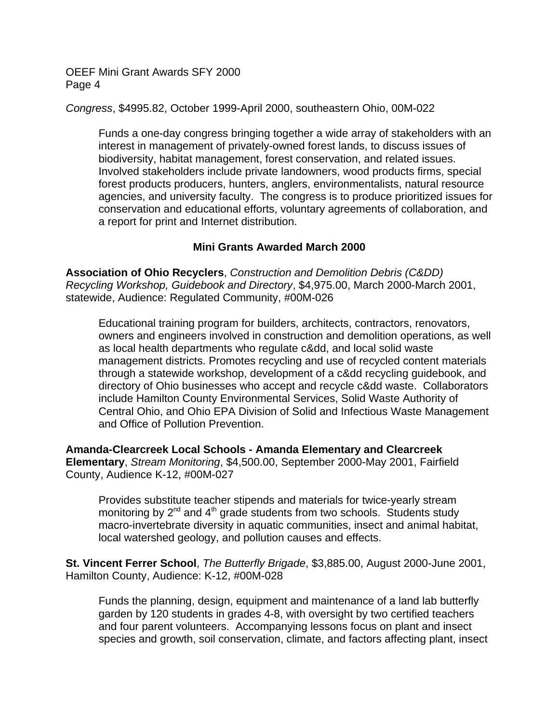*Congress*, \$4995.82, October 1999-April 2000, southeastern Ohio, 00M-022

Funds a one-day congress bringing together a wide array of stakeholders with an interest in management of privately-owned forest lands, to discuss issues of biodiversity, habitat management, forest conservation, and related issues. Involved stakeholders include private landowners, wood products firms, special forest products producers, hunters, anglers, environmentalists, natural resource agencies, and university faculty. The congress is to produce prioritized issues for conservation and educational efforts, voluntary agreements of collaboration, and a report for print and Internet distribution.

## **Mini Grants Awarded March 2000**

**Association of Ohio Recyclers**, *Construction and Demolition Debris (C&DD) Recycling Workshop, Guidebook and Directory*, \$4,975.00, March 2000-March 2001, statewide, Audience: Regulated Community, #00M-026

Educational training program for builders, architects, contractors, renovators, owners and engineers involved in construction and demolition operations, as well as local health departments who regulate c&dd, and local solid waste management districts. Promotes recycling and use of recycled content materials through a statewide workshop, development of a c&dd recycling guidebook, and directory of Ohio businesses who accept and recycle c&dd waste. Collaborators include Hamilton County Environmental Services, Solid Waste Authority of Central Ohio, and Ohio EPA Division of Solid and Infectious Waste Management and Office of Pollution Prevention.

**Amanda-Clearcreek Local Schools - Amanda Elementary and Clearcreek Elementary**, *Stream Monitoring*, \$4,500.00, September 2000-May 2001, Fairfield County, Audience K-12, #00M-027

Provides substitute teacher stipends and materials for twice-yearly stream monitoring by  $2^{nd}$  and  $4^{th}$  grade students from two schools. Students study macro-invertebrate diversity in aquatic communities, insect and animal habitat, local watershed geology, and pollution causes and effects.

**St. Vincent Ferrer School**, *The Butterfly Brigade*, \$3,885.00, August 2000-June 2001, Hamilton County, Audience: K-12, #00M-028

Funds the planning, design, equipment and maintenance of a land lab butterfly garden by 120 students in grades 4-8, with oversight by two certified teachers and four parent volunteers. Accompanying lessons focus on plant and insect species and growth, soil conservation, climate, and factors affecting plant, insect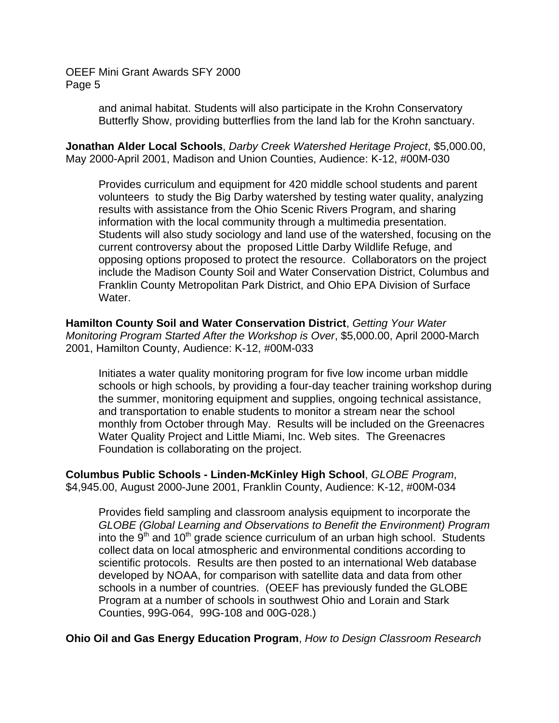> and animal habitat. Students will also participate in the Krohn Conservatory Butterfly Show, providing butterflies from the land lab for the Krohn sanctuary.

**Jonathan Alder Local Schools**, *Darby Creek Watershed Heritage Project*, \$5,000.00, May 2000-April 2001, Madison and Union Counties, Audience: K-12, #00M-030

Provides curriculum and equipment for 420 middle school students and parent volunteers to study the Big Darby watershed by testing water quality, analyzing results with assistance from the Ohio Scenic Rivers Program, and sharing information with the local community through a multimedia presentation. Students will also study sociology and land use of the watershed, focusing on the current controversy about the proposed Little Darby Wildlife Refuge, and opposing options proposed to protect the resource. Collaborators on the project include the Madison County Soil and Water Conservation District, Columbus and Franklin County Metropolitan Park District, and Ohio EPA Division of Surface Water.

**Hamilton County Soil and Water Conservation District**, *Getting Your Water Monitoring Program Started After the Workshop is Over*, \$5,000.00, April 2000-March 2001, Hamilton County, Audience: K-12, #00M-033

Initiates a water quality monitoring program for five low income urban middle schools or high schools, by providing a four-day teacher training workshop during the summer, monitoring equipment and supplies, ongoing technical assistance, and transportation to enable students to monitor a stream near the school monthly from October through May. Results will be included on the Greenacres Water Quality Project and Little Miami, Inc. Web sites. The Greenacres Foundation is collaborating on the project.

**Columbus Public Schools - Linden-McKinley High School**, *GLOBE Program*, \$4,945.00, August 2000-June 2001, Franklin County, Audience: K-12, #00M-034

Provides field sampling and classroom analysis equipment to incorporate the *GLOBE (Global Learning and Observations to Benefit the Environment) Program* into the  $9<sup>th</sup>$  and 10<sup>th</sup> grade science curriculum of an urban high school. Students collect data on local atmospheric and environmental conditions according to scientific protocols. Results are then posted to an international Web database developed by NOAA, for comparison with satellite data and data from other schools in a number of countries. (OEEF has previously funded the GLOBE Program at a number of schools in southwest Ohio and Lorain and Stark Counties, 99G-064, 99G-108 and 00G-028.)

**Ohio Oil and Gas Energy Education Program**, *How to Design Classroom Research*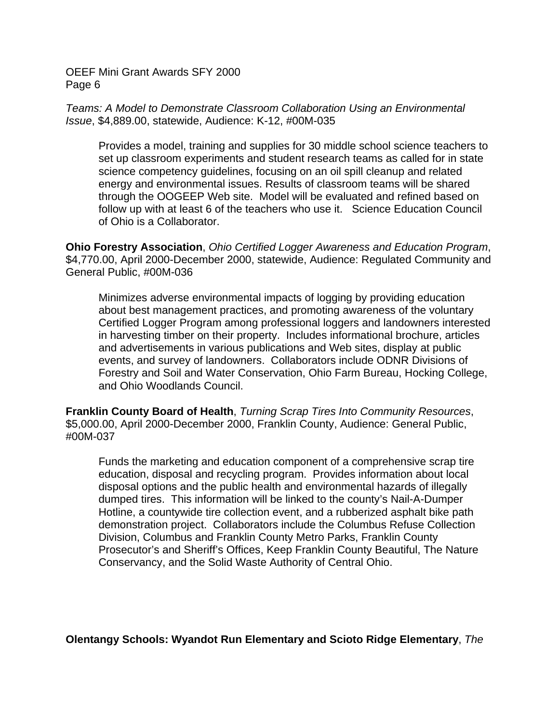*Teams: A Model to Demonstrate Classroom Collaboration Using an Environmental Issue*, \$4,889.00, statewide, Audience: K-12, #00M-035

Provides a model, training and supplies for 30 middle school science teachers to set up classroom experiments and student research teams as called for in state science competency guidelines, focusing on an oil spill cleanup and related energy and environmental issues. Results of classroom teams will be shared through the OOGEEP Web site. Model will be evaluated and refined based on follow up with at least 6 of the teachers who use it. Science Education Council of Ohio is a Collaborator.

**Ohio Forestry Association**, *Ohio Certified Logger Awareness and Education Program*, \$4,770.00, April 2000-December 2000, statewide, Audience: Regulated Community and General Public, #00M-036

Minimizes adverse environmental impacts of logging by providing education about best management practices, and promoting awareness of the voluntary Certified Logger Program among professional loggers and landowners interested in harvesting timber on their property. Includes informational brochure, articles and advertisements in various publications and Web sites, display at public events, and survey of landowners. Collaborators include ODNR Divisions of Forestry and Soil and Water Conservation, Ohio Farm Bureau, Hocking College, and Ohio Woodlands Council.

**Franklin County Board of Health**, *Turning Scrap Tires Into Community Resources*, \$5,000.00, April 2000-December 2000, Franklin County, Audience: General Public, #00M-037

Funds the marketing and education component of a comprehensive scrap tire education, disposal and recycling program. Provides information about local disposal options and the public health and environmental hazards of illegally dumped tires. This information will be linked to the county's Nail-A-Dumper Hotline, a countywide tire collection event, and a rubberized asphalt bike path demonstration project. Collaborators include the Columbus Refuse Collection Division, Columbus and Franklin County Metro Parks, Franklin County Prosecutor's and Sheriff's Offices, Keep Franklin County Beautiful, The Nature Conservancy, and the Solid Waste Authority of Central Ohio.

**Olentangy Schools: Wyandot Run Elementary and Scioto Ridge Elementary**, *The*